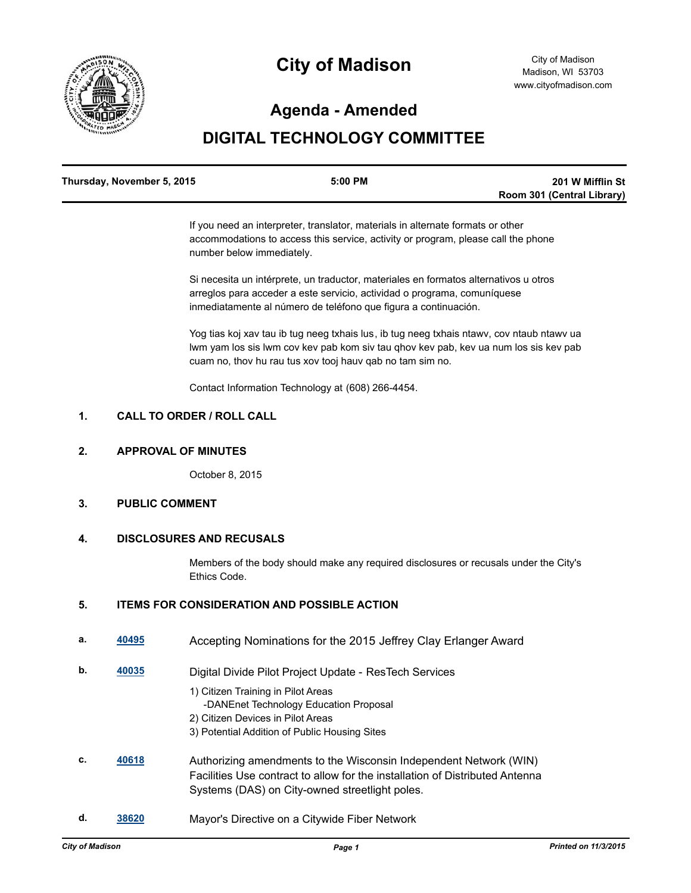

# **City of Madison**

### **Agenda - Amended**

## **DIGITAL TECHNOLOGY COMMITTEE**

| Thursday, November 5, 2015 | $5:00$ PM | 201 W Mifflin St           |
|----------------------------|-----------|----------------------------|
|                            |           | Room 301 (Central Library) |

If you need an interpreter, translator, materials in alternate formats or other accommodations to access this service, activity or program, please call the phone number below immediately.

Si necesita un intérprete, un traductor, materiales en formatos alternativos u otros arreglos para acceder a este servicio, actividad o programa, comuníquese inmediatamente al número de teléfono que figura a continuación.

Yog tias koj xav tau ib tug neeg txhais lus, ib tug neeg txhais ntawv, cov ntaub ntawv ua lwm yam los sis lwm cov kev pab kom siv tau qhov kev pab, kev ua num los sis kev pab cuam no, thov hu rau tus xov tooj hauv qab no tam sim no.

Contact Information Technology at (608) 266-4454.

### **1. CALL TO ORDER / ROLL CALL**

#### **2. APPROVAL OF MINUTES**

October 8, 2015

#### **3. PUBLIC COMMENT**

#### **4. DISCLOSURES AND RECUSALS**

Members of the body should make any required disclosures or recusals under the City's Ethics Code.

#### **5. ITEMS FOR CONSIDERATION AND POSSIBLE ACTION**

| а. | 40495 | Accepting Nominations for the 2015 Jeffrey Clay Erlanger Award                                                                                                                                      |
|----|-------|-----------------------------------------------------------------------------------------------------------------------------------------------------------------------------------------------------|
| b. | 40035 | Digital Divide Pilot Project Update - ResTech Services                                                                                                                                              |
|    |       | 1) Citizen Training in Pilot Areas                                                                                                                                                                  |
|    |       | -DANEnet Technology Education Proposal                                                                                                                                                              |
|    |       | 2) Citizen Devices in Pilot Areas                                                                                                                                                                   |
|    |       | 3) Potential Addition of Public Housing Sites                                                                                                                                                       |
| C. | 40618 | Authorizing amendments to the Wisconsin Independent Network (WIN)<br>Facilities Use contract to allow for the installation of Distributed Antenna<br>Systems (DAS) on City-owned streetlight poles. |
|    |       |                                                                                                                                                                                                     |

**d. [38620](http://madison.legistar.com/gateway.aspx?m=l&id=/matter.aspx?key=41288)** Mayor's Directive on a Citywide Fiber Network